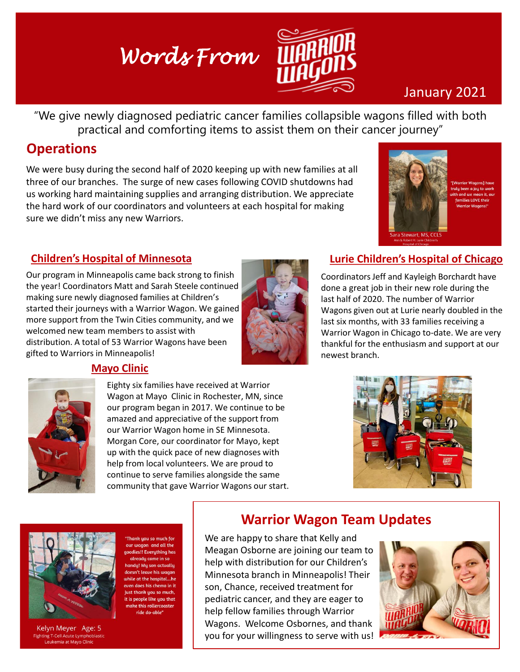# *Words From*



## January 2021

"We give newly diagnosed pediatric cancer families collapsible wagons filled with both practical and comforting items to assist them on their cancer journey"

## **Operations**

We were busy during the second half of 2020 keeping up with new families at all three of our branches. The surge of new cases following COVID shutdowns had us working hard maintaining supplies and arranging distribution. We appreciate the hard work of our coordinators and volunteers at each hospital for making sure we didn't miss any new Warriors.



y been a joy to u

#### **Children's Hospital of Minnesota**

Our program in Minneapolis came back strong to finish the year! Coordinators Matt and Sarah Steele continued making sure newly diagnosed families at Children's started their journeys with a Warrior Wagon. We gained more support from the Twin Cities community, and we welcomed new team members to assist with distribution. A total of 53 Warrior Wagons have been gifted to Warriors in Minneapolis!



#### **Lurie Children's Hospital of Chicago**

Coordinators Jeff and Kayleigh Borchardt have done a great job in their new role during the last half of 2020. The number of Warrior Wagons given out at Lurie nearly doubled in the last six months, with 33 families receiving a Warrior Wagon in Chicago to-date. We are very thankful for the enthusiasm and support at our newest branch.



#### **Mayo Clinic**

Eighty six families have received at Warrior Wagon at Mayo Clinic in Rochester, MN, since our program began in 2017. We continue to be amazed and appreciative of the support from our Warrior Wagon home in SE Minnesota. Morgan Core, our coordinator for Mayo, kept up with the quick pace of new diagnoses with help from local volunteers. We are proud to continue to serve families alongside the same community that gave Warrior Wagons our start.





Kelyn Meyer Age: 5 g T-Cell Acute Lymp mia at Mayo Clinic

Thank you so much for our wagon and all the es!! Everuthing has leave his wo at the hospital...h does his chemo in i ist thank uou so much is people like you that this rollerconste ride do-able

#### **Warrior Wagon Team Updates**

We are happy to share that Kelly and Meagan Osborne are joining our team to help with distribution for our Children's Minnesota branch in Minneapolis! Their son, Chance, received treatment for pediatric cancer, and they are eager to help fellow families through Warrior Wagons. Welcome Osbornes, and thank you for your willingness to serve with us!